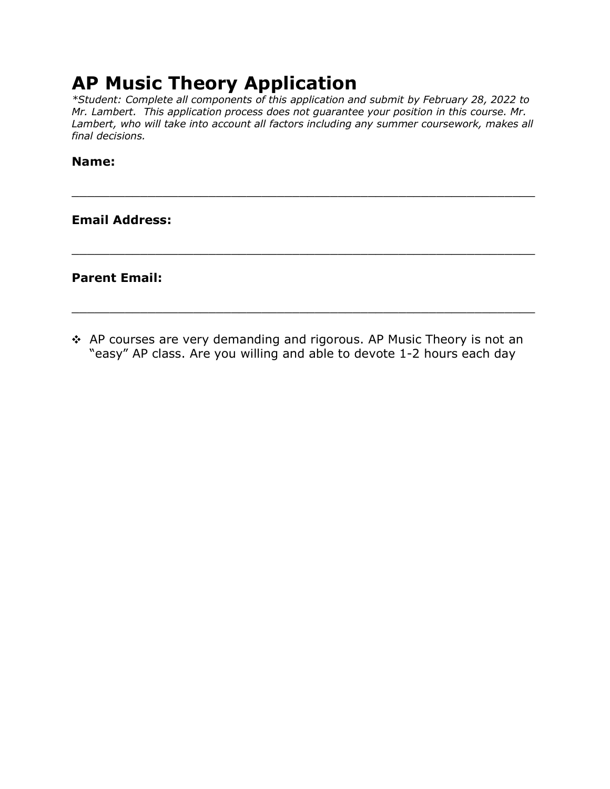## **AP Music Theory Application**

*\*Student: Complete all components of this application and submit by February 28, 2022 to Mr. Lambert. This application process does not guarantee your position in this course. Mr. Lambert, who will take into account all factors including any summer coursework, makes all final decisions.*

\_\_\_\_\_\_\_\_\_\_\_\_\_\_\_\_\_\_\_\_\_\_\_\_\_\_\_\_\_\_\_\_\_\_\_\_\_\_\_\_\_\_\_\_\_\_\_\_\_\_\_\_\_\_\_\_\_\_\_\_\_

\_\_\_\_\_\_\_\_\_\_\_\_\_\_\_\_\_\_\_\_\_\_\_\_\_\_\_\_\_\_\_\_\_\_\_\_\_\_\_\_\_\_\_\_\_\_\_\_\_\_\_\_\_\_\_\_\_\_\_\_\_

\_\_\_\_\_\_\_\_\_\_\_\_\_\_\_\_\_\_\_\_\_\_\_\_\_\_\_\_\_\_\_\_\_\_\_\_\_\_\_\_\_\_\_\_\_\_\_\_\_\_\_\_\_\_\_\_\_\_\_\_\_

## **Name:**

**Email Address:**

**Parent Email:**

\* AP courses are very demanding and rigorous. AP Music Theory is not an "easy" AP class. Are you willing and able to devote 1-2 hours each day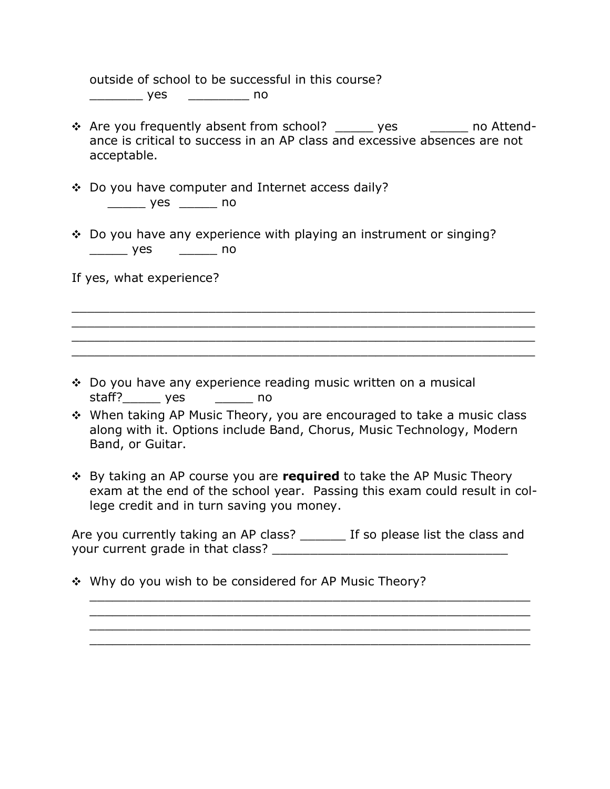outside of school to be successful in this course? \_\_\_\_\_\_\_ yes \_\_\_\_\_\_\_\_ no

- \* Are you frequently absent from school? yes example and Attendance is critical to success in an AP class and excessive absences are not acceptable.
- ! Do you have computer and Internet access daily? \_\_\_\_\_ yes \_\_\_\_\_ no
- $\div$  Do you have any experience with playing an instrument or singing? \_\_\_\_\_ yes \_\_\_\_\_ no

If yes, what experience?

 $\div$  Do you have any experience reading music written on a musical staff?\_\_\_\_\_\_\_ yes \_\_\_\_\_\_\_\_ no

\* When taking AP Music Theory, you are encouraged to take a music class along with it. Options include Band, Chorus, Music Technology, Modern Band, or Guitar.

\_\_\_\_\_\_\_\_\_\_\_\_\_\_\_\_\_\_\_\_\_\_\_\_\_\_\_\_\_\_\_\_\_\_\_\_\_\_\_\_\_\_\_\_\_\_\_\_\_\_\_\_\_\_\_\_\_\_\_\_\_ \_\_\_\_\_\_\_\_\_\_\_\_\_\_\_\_\_\_\_\_\_\_\_\_\_\_\_\_\_\_\_\_\_\_\_\_\_\_\_\_\_\_\_\_\_\_\_\_\_\_\_\_\_\_\_\_\_\_\_\_\_ \_\_\_\_\_\_\_\_\_\_\_\_\_\_\_\_\_\_\_\_\_\_\_\_\_\_\_\_\_\_\_\_\_\_\_\_\_\_\_\_\_\_\_\_\_\_\_\_\_\_\_\_\_\_\_\_\_\_\_\_\_ \_\_\_\_\_\_\_\_\_\_\_\_\_\_\_\_\_\_\_\_\_\_\_\_\_\_\_\_\_\_\_\_\_\_\_\_\_\_\_\_\_\_\_\_\_\_\_\_\_\_\_\_\_\_\_\_\_\_\_\_\_

**. By taking an AP course you are required** to take the AP Music Theory exam at the end of the school year. Passing this exam could result in college credit and in turn saving you money.

Are you currently taking an AP class? \_\_\_\_\_\_\_ If so please list the class and your current grade in that class? \_\_\_\_\_\_\_\_\_\_\_\_\_\_\_\_\_\_\_\_\_\_\_\_\_\_\_\_\_\_\_

\_\_\_\_\_\_\_\_\_\_\_\_\_\_\_\_\_\_\_\_\_\_\_\_\_\_\_\_\_\_\_\_\_\_\_\_\_\_\_\_\_\_\_\_\_\_\_\_\_\_\_\_\_\_\_\_\_\_ \_\_\_\_\_\_\_\_\_\_\_\_\_\_\_\_\_\_\_\_\_\_\_\_\_\_\_\_\_\_\_\_\_\_\_\_\_\_\_\_\_\_\_\_\_\_\_\_\_\_\_\_\_\_\_\_\_\_ \_\_\_\_\_\_\_\_\_\_\_\_\_\_\_\_\_\_\_\_\_\_\_\_\_\_\_\_\_\_\_\_\_\_\_\_\_\_\_\_\_\_\_\_\_\_\_\_\_\_\_\_\_\_\_\_\_\_ \_\_\_\_\_\_\_\_\_\_\_\_\_\_\_\_\_\_\_\_\_\_\_\_\_\_\_\_\_\_\_\_\_\_\_\_\_\_\_\_\_\_\_\_\_\_\_\_\_\_\_\_\_\_\_\_\_\_

\* Why do you wish to be considered for AP Music Theory?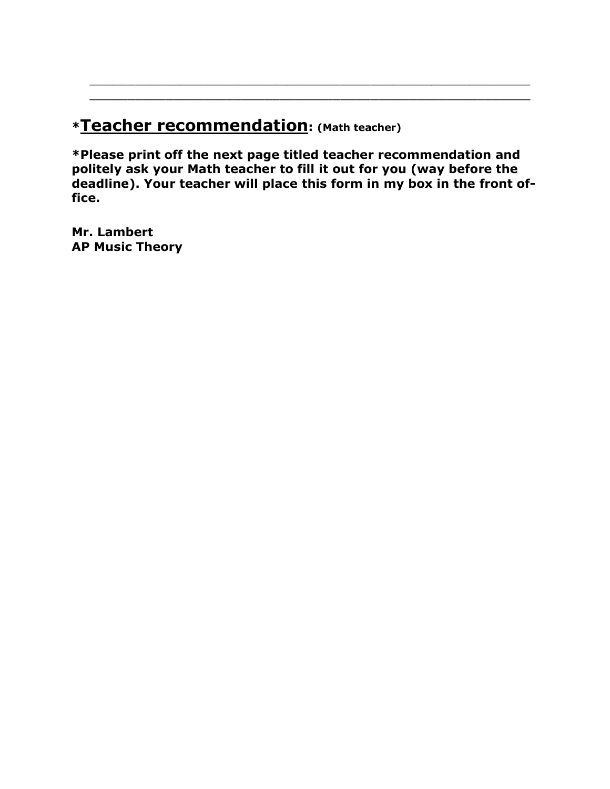## **\*Teacher recommendation: (Math teacher)**

**\*Please print off the next page titled teacher recommendation and politely ask your Math teacher to fill it out for you (way before the deadline). Your teacher will place this form in my box in the front office.**

\_\_\_\_\_\_\_\_\_\_\_\_\_\_\_\_\_\_\_\_\_\_\_\_\_\_\_\_\_\_\_\_\_\_\_\_\_\_\_\_\_\_\_\_\_\_\_\_\_\_\_\_\_\_\_\_\_\_ \_\_\_\_\_\_\_\_\_\_\_\_\_\_\_\_\_\_\_\_\_\_\_\_\_\_\_\_\_\_\_\_\_\_\_\_\_\_\_\_\_\_\_\_\_\_\_\_\_\_\_\_\_\_\_\_\_\_

**Mr. Lambert AP Music Theory**